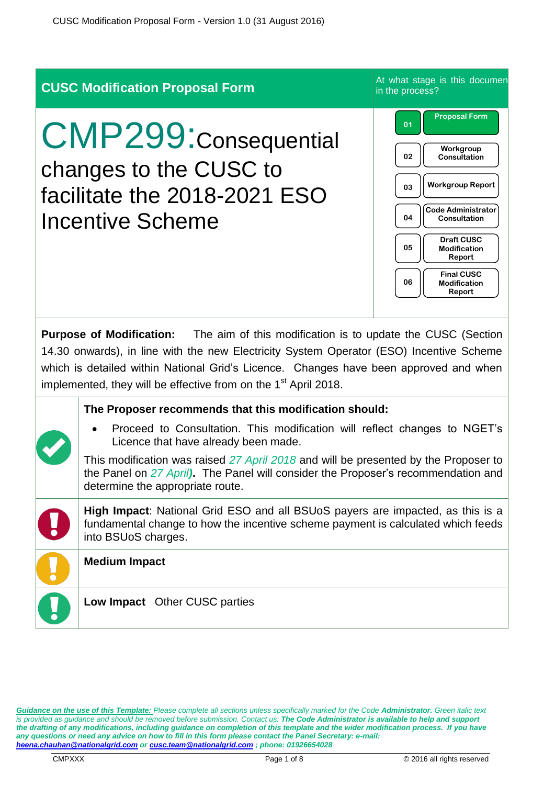|                                                                                                                                                                                                                                                                                                                                                                | <b>CUSC Modification Proposal Form</b>                                                                                                                                                                                                                                                                                                                                                      | At what stage is this documen<br>in the process?                                                                                                                                                                                                                                 |  |  |
|----------------------------------------------------------------------------------------------------------------------------------------------------------------------------------------------------------------------------------------------------------------------------------------------------------------------------------------------------------------|---------------------------------------------------------------------------------------------------------------------------------------------------------------------------------------------------------------------------------------------------------------------------------------------------------------------------------------------------------------------------------------------|----------------------------------------------------------------------------------------------------------------------------------------------------------------------------------------------------------------------------------------------------------------------------------|--|--|
|                                                                                                                                                                                                                                                                                                                                                                | <b>CMP299: Consequential</b><br>changes to the CUSC to<br>facilitate the 2018-2021 ESO<br><b>Incentive Scheme</b>                                                                                                                                                                                                                                                                           | <b>Proposal Form</b><br>01<br>Workgroup<br>02<br><b>Consultation</b><br><b>Workgroup Report</b><br>03<br><b>Code Administrator</b><br>04<br>Consultation<br><b>Draft CUSC</b><br>05<br><b>Modification</b><br>Report<br><b>Final CUSC</b><br>06<br><b>Modification</b><br>Report |  |  |
| <b>Purpose of Modification:</b> The aim of this modification is to update the CUSC (Section<br>14.30 onwards), in line with the new Electricity System Operator (ESO) Incentive Scheme<br>which is detailed within National Grid's Licence. Changes have been approved and when<br>implemented, they will be effective from on the 1 <sup>st</sup> April 2018. |                                                                                                                                                                                                                                                                                                                                                                                             |                                                                                                                                                                                                                                                                                  |  |  |
|                                                                                                                                                                                                                                                                                                                                                                | The Proposer recommends that this modification should:<br>Proceed to Consultation. This modification will reflect changes to NGET's<br>Licence that have already been made.<br>This modification was raised 27 April 2018 and will be presented by the Proposer to<br>the Panel on 27 April). The Panel will consider the Proposer's recommendation and<br>determine the appropriate route. |                                                                                                                                                                                                                                                                                  |  |  |
|                                                                                                                                                                                                                                                                                                                                                                | High Impact: National Grid ESO and all BSUoS payers are impacted, as this is a<br>fundamental change to how the incentive scheme payment is calculated which feeds<br>into BSUoS charges.                                                                                                                                                                                                   |                                                                                                                                                                                                                                                                                  |  |  |
|                                                                                                                                                                                                                                                                                                                                                                | <b>Medium Impact</b><br>Low Impact Other CUSC parties                                                                                                                                                                                                                                                                                                                                       |                                                                                                                                                                                                                                                                                  |  |  |

*Guidance on the use of this Template: Please complete all sections unless specifically marked for the Code Administrator. Green italic text is provided as guidance and should be removed before submission. Contact us: The Code Administrator is available to help and support the drafting of any modifications, including guidance on completion of this template and the wider modification process. If you have any questions or need any advice on how to fill in this form please contact the Panel Secretary: e-mail: [heena.chauhan@nationalgrid.com](mailto:heena.chauhan@nationalgrid.com) o[r cusc.team@nationalgrid.com](mailto:cusc.team@nationalgrid.com) ; phone: 01926654028*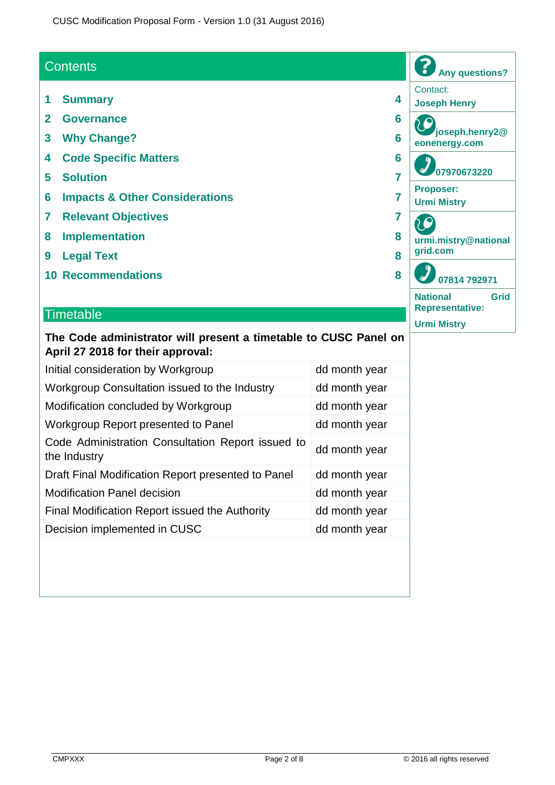#### **Contents**

- **1 Summary 4**
- **2 Governance 6**
- **3 Why Change? 6**
- **4 Code Specific Matters 6**
- **5 Solution 7**
- **6 Impacts & Other Considerations 7**
- **7 Relevant Objectives 7**
- **8 Implementation 8**
- **9 Legal Text 8**
- **10 Recommendations 8**

#### **Timetable**

#### **The Code administrator will present a timetable to CUSC Panel on April 27 2018 for their approval:**

| Initial consideration by Workgroup                                | dd month year |
|-------------------------------------------------------------------|---------------|
| Workgroup Consultation issued to the Industry                     | dd month year |
| Modification concluded by Workgroup                               | dd month year |
| Workgroup Report presented to Panel                               | dd month year |
| Code Administration Consultation Report issued to<br>the Industry | dd month year |
| Draft Final Modification Report presented to Panel                | dd month year |
| <b>Modification Panel decision</b>                                | dd month year |
| Final Modification Report issued the Authority                    | dd month year |
| Decision implemented in CUSC                                      | dd month year |

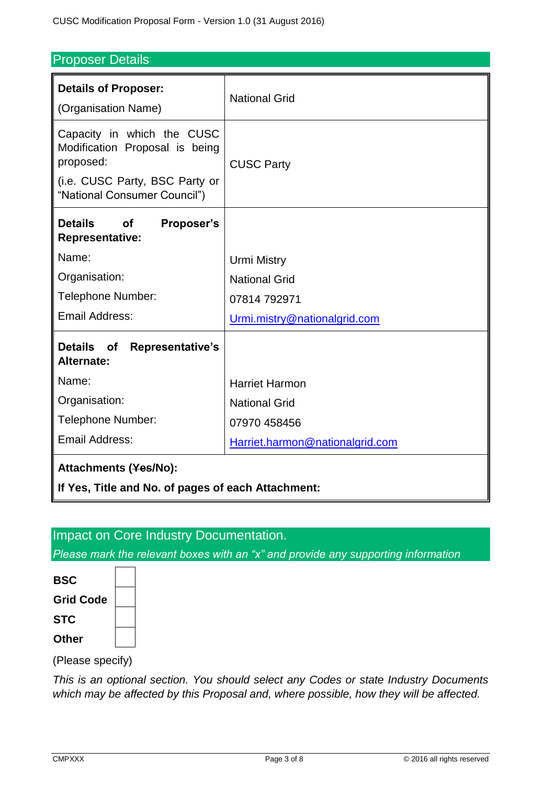#### Proposer Details

| <b>Details of Proposer:</b><br>(Organisation Name)                                                                                          | <b>National Grid</b>            |  |  |  |
|---------------------------------------------------------------------------------------------------------------------------------------------|---------------------------------|--|--|--|
| Capacity in which the CUSC<br>Modification Proposal is being<br>proposed:<br>(i.e. CUSC Party, BSC Party or<br>"National Consumer Council") | <b>CUSC Party</b>               |  |  |  |
| <b>Details</b><br><b>of</b><br>Proposer's<br><b>Representative:</b>                                                                         |                                 |  |  |  |
| Name:                                                                                                                                       | <b>Urmi Mistry</b>              |  |  |  |
| Organisation:                                                                                                                               | <b>National Grid</b>            |  |  |  |
| Telephone Number:                                                                                                                           | 07814 792971                    |  |  |  |
| <b>Email Address:</b>                                                                                                                       | Urmi.mistry@nationalgrid.com    |  |  |  |
| <b>Details</b><br>of<br><b>Representative's</b><br>Alternate:                                                                               |                                 |  |  |  |
| Name:                                                                                                                                       | <b>Harriet Harmon</b>           |  |  |  |
| Organisation:                                                                                                                               | <b>National Grid</b>            |  |  |  |
| Telephone Number:                                                                                                                           | 07970 458456                    |  |  |  |
| <b>Email Address:</b>                                                                                                                       | Harriet.harmon@nationalgrid.com |  |  |  |
| Attachments (Yes/No):                                                                                                                       |                                 |  |  |  |
| If Yes, Title and No. of pages of each Attachment:                                                                                          |                                 |  |  |  |

#### Impact on Core Industry Documentation.

*Please mark the relevant boxes with an "x" and provide any supporting information*

| BSC              |  |
|------------------|--|
| <b>Grid Code</b> |  |
| STC              |  |
| Other            |  |

 $\mathbf{r}$ 

(Please specify)

*This is an optional section. You should select any Codes or state Industry Documents which may be affected by this Proposal and, where possible, how they will be affected.*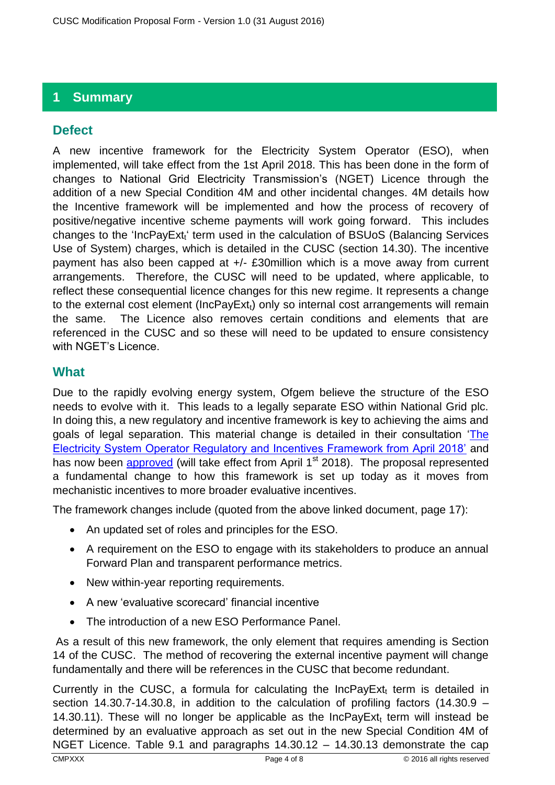# **1 Summary**

# **Defect**

A new incentive framework for the Electricity System Operator (ESO), when implemented, will take effect from the 1st April 2018. This has been done in the form of changes to National Grid Electricity Transmission's (NGET) Licence through the addition of a new Special Condition 4M and other incidental changes. 4M details how the Incentive framework will be implemented and how the process of recovery of positive/negative incentive scheme payments will work going forward. This includes changes to the 'IncPayExt<sub>t</sub>' term used in the calculation of BSUoS (Balancing Services Use of System) charges, which is detailed in the CUSC (section 14.30). The incentive payment has also been capped at +/- £30million which is a move away from current arrangements. Therefore, the CUSC will need to be updated, where applicable, to reflect these consequential licence changes for this new regime. It represents a change to the external cost element ( $IncPayExt<sub>t</sub>$ ) only so internal cost arrangements will remain the same. The Licence also removes certain conditions and elements that are referenced in the CUSC and so these will need to be updated to ensure consistency with NGET's Licence.

### **What**

Due to the rapidly evolving energy system, Ofgem believe the structure of the ESO needs to evolve with it. This leads to a legally separate ESO within National Grid plc. In doing this, a new regulatory and incentive framework is key to achieving the aims and goals of legal separation. This material change is detailed in their consultation ['The](https://www.ofgem.gov.uk/publications-and-updates/electricity-system-operator-regulatory-and-incentive-framework-april-2018)  [Electricity System Operator Regulatory and Incentives Framework from April 2018'](https://www.ofgem.gov.uk/publications-and-updates/electricity-system-operator-regulatory-and-incentive-framework-april-2018) and has now been [approved](https://www.ofgem.gov.uk/system/files/docs/2018/03/decision_to_modify_ngets_licence_to_introduce_new_eso_reporting_and_inc.pdf) (will take effect from April  $1<sup>st</sup>$  2018). The proposal represented a fundamental change to how this framework is set up today as it moves from mechanistic incentives to more broader evaluative incentives.

The framework changes include (quoted from the above linked document, page 17):

- An updated set of roles and principles for the ESO.
- A requirement on the ESO to engage with its stakeholders to produce an annual Forward Plan and transparent performance metrics.
- New within-year reporting requirements.
- A new 'evaluative scorecard' financial incentive
- The introduction of a new ESO Performance Panel.

As a result of this new framework, the only element that requires amending is Section 14 of the CUSC. The method of recovering the external incentive payment will change fundamentally and there will be references in the CUSC that become redundant.

Currently in the CUSC, a formula for calculating the IncPayExt, term is detailed in section 14.30.7-14.30.8, in addition to the calculation of profiling factors (14.30.9 – 14.30.11). These will no longer be applicable as the  $InCPayExt<sub>t</sub>$  term will instead be determined by an evaluative approach as set out in the new Special Condition 4M of NGET Licence. Table 9.1 and paragraphs 14.30.12 – 14.30.13 demonstrate the cap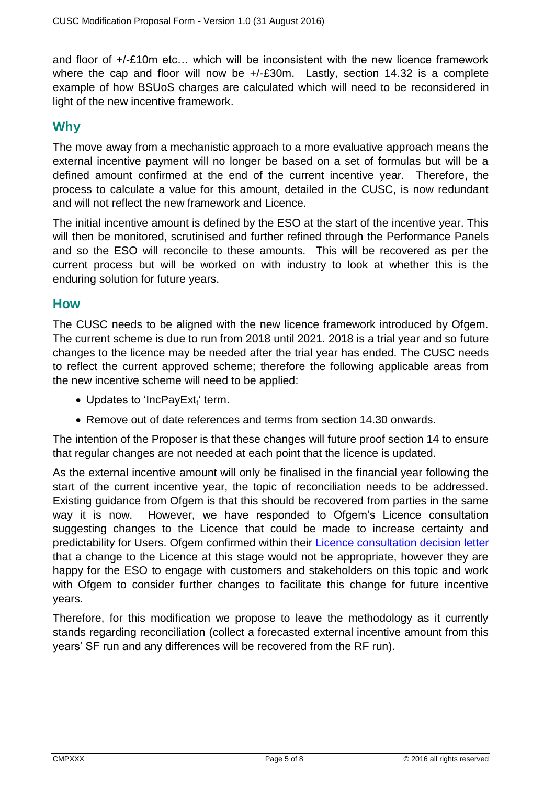and floor of +/-£10m etc… which will be inconsistent with the new licence framework where the cap and floor will now be  $+/-E30$ m. Lastly, section 14.32 is a complete example of how BSUoS charges are calculated which will need to be reconsidered in light of the new incentive framework.

#### **Why**

The move away from a mechanistic approach to a more evaluative approach means the external incentive payment will no longer be based on a set of formulas but will be a defined amount confirmed at the end of the current incentive year. Therefore, the process to calculate a value for this amount, detailed in the CUSC, is now redundant and will not reflect the new framework and Licence.

The initial incentive amount is defined by the ESO at the start of the incentive year. This will then be monitored, scrutinised and further refined through the Performance Panels and so the ESO will reconcile to these amounts. This will be recovered as per the current process but will be worked on with industry to look at whether this is the enduring solution for future years.

#### **How**

The CUSC needs to be aligned with the new licence framework introduced by Ofgem. The current scheme is due to run from 2018 until 2021. 2018 is a trial year and so future changes to the licence may be needed after the trial year has ended. The CUSC needs to reflect the current approved scheme; therefore the following applicable areas from the new incentive scheme will need to be applied:

- $\bullet$  Updates to 'IncPayExt<sub>t</sub>' term.
- Remove out of date references and terms from section 14.30 onwards.

The intention of the Proposer is that these changes will future proof section 14 to ensure that regular changes are not needed at each point that the licence is updated.

As the external incentive amount will only be finalised in the financial year following the start of the current incentive year, the topic of reconciliation needs to be addressed. Existing guidance from Ofgem is that this should be recovered from parties in the same way it is now. However, we have responded to Ofgem's Licence consultation suggesting changes to the Licence that could be made to increase certainty and predictability for Users. Ofgem confirmed within their [Licence consultation decision letter](https://www.ofgem.gov.uk/system/files/docs/2018/03/decision_to_modify_ngets_licence_to_introduce_new_eso_reporting_and_inc.pdf) that a change to the Licence at this stage would not be appropriate, however they are happy for the ESO to engage with customers and stakeholders on this topic and work with Ofgem to consider further changes to facilitate this change for future incentive years.

Therefore, for this modification we propose to leave the methodology as it currently stands regarding reconciliation (collect a forecasted external incentive amount from this years' SF run and any differences will be recovered from the RF run).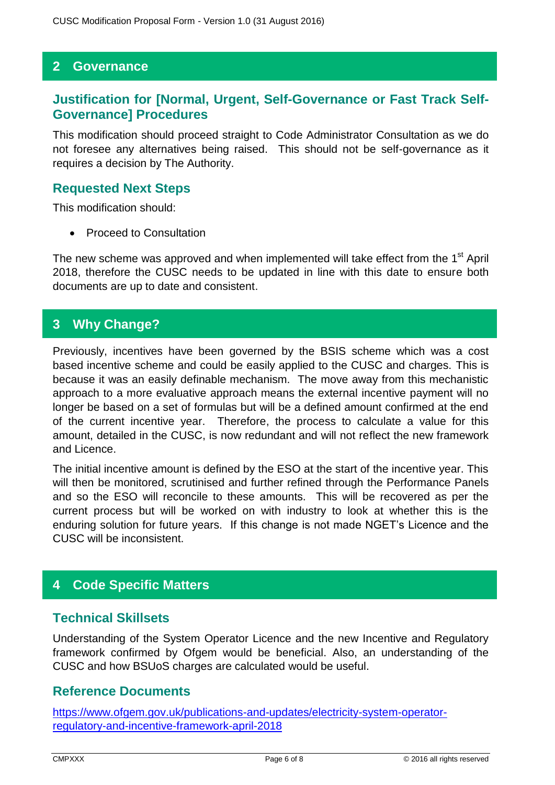#### **2 Governance**

#### **Justification for [Normal, Urgent, Self-Governance or Fast Track Self-Governance] Procedures**

This modification should proceed straight to Code Administrator Consultation as we do not foresee any alternatives being raised. This should not be self-governance as it requires a decision by The Authority.

#### **Requested Next Steps**

This modification should:

Proceed to Consultation

The new scheme was approved and when implemented will take effect from the 1<sup>st</sup> April 2018, therefore the CUSC needs to be updated in line with this date to ensure both documents are up to date and consistent.

#### **3 Why Change?**

Previously, incentives have been governed by the BSIS scheme which was a cost based incentive scheme and could be easily applied to the CUSC and charges. This is because it was an easily definable mechanism. The move away from this mechanistic approach to a more evaluative approach means the external incentive payment will no longer be based on a set of formulas but will be a defined amount confirmed at the end of the current incentive year. Therefore, the process to calculate a value for this amount, detailed in the CUSC, is now redundant and will not reflect the new framework and Licence.

The initial incentive amount is defined by the ESO at the start of the incentive year. This will then be monitored, scrutinised and further refined through the Performance Panels and so the ESO will reconcile to these amounts. This will be recovered as per the current process but will be worked on with industry to look at whether this is the enduring solution for future years. If this change is not made NGET's Licence and the CUSC will be inconsistent.

# **4 Code Specific Matters**

#### **Technical Skillsets**

Understanding of the System Operator Licence and the new Incentive and Regulatory framework confirmed by Ofgem would be beneficial. Also, an understanding of the CUSC and how BSUoS charges are calculated would be useful.

#### **Reference Documents**

[https://www.ofgem.gov.uk/publications-and-updates/electricity-system-operator](https://www.ofgem.gov.uk/publications-and-updates/electricity-system-operator-regulatory-and-incentive-framework-april-2018)[regulatory-and-incentive-framework-april-2018](https://www.ofgem.gov.uk/publications-and-updates/electricity-system-operator-regulatory-and-incentive-framework-april-2018)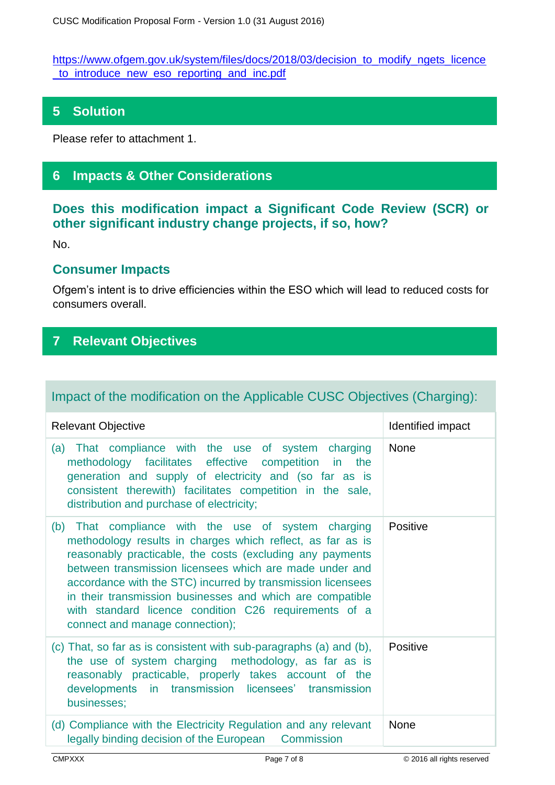[https://www.ofgem.gov.uk/system/files/docs/2018/03/decision\\_to\\_modify\\_ngets\\_licence](https://www.ofgem.gov.uk/system/files/docs/2018/03/decision_to_modify_ngets_licence_to_introduce_new_eso_reporting_and_inc.pdf) [\\_to\\_introduce\\_new\\_eso\\_reporting\\_and\\_inc.pdf](https://www.ofgem.gov.uk/system/files/docs/2018/03/decision_to_modify_ngets_licence_to_introduce_new_eso_reporting_and_inc.pdf)

# **5 Solution**

Please refer to attachment 1.

# **6 Impacts & Other Considerations**

### **Does this modification impact a Significant Code Review (SCR) or other significant industry change projects, if so, how?**

No.

#### **Consumer Impacts**

Ofgem's intent is to drive efficiencies within the ESO which will lead to reduced costs for consumers overall.

# **7 Relevant Objectives**

# Impact of the modification on the Applicable CUSC Objectives (Charging):

| <b>Relevant Objective</b>                                                                                                                                                                                                                                                                                                                                                                                                                                         | Identified impact |
|-------------------------------------------------------------------------------------------------------------------------------------------------------------------------------------------------------------------------------------------------------------------------------------------------------------------------------------------------------------------------------------------------------------------------------------------------------------------|-------------------|
| (a) That compliance with the use of system charging<br>methodology facilitates effective competition in the<br>generation and supply of electricity and (so far as is<br>consistent therewith) facilitates competition in the sale,<br>distribution and purchase of electricity;                                                                                                                                                                                  | <b>None</b>       |
| (b) That compliance with the use of system charging<br>methodology results in charges which reflect, as far as is<br>reasonably practicable, the costs (excluding any payments<br>between transmission licensees which are made under and<br>accordance with the STC) incurred by transmission licensees<br>in their transmission businesses and which are compatible<br>with standard licence condition C26 requirements of a<br>connect and manage connection); | Positive          |
| (c) That, so far as is consistent with sub-paragraphs (a) and (b),<br>the use of system charging methodology, as far as is<br>reasonably practicable, properly takes account of the<br>developments in transmission licensees' transmission<br>businesses;                                                                                                                                                                                                        | Positive          |
| (d) Compliance with the Electricity Regulation and any relevant<br>legally binding decision of the European Commission                                                                                                                                                                                                                                                                                                                                            | <b>None</b>       |